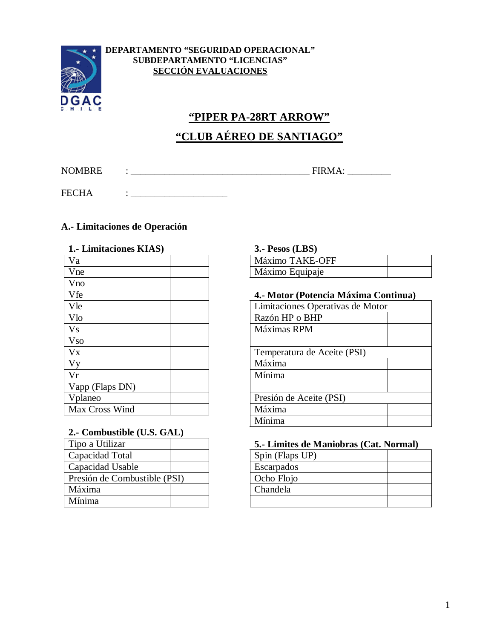

#### **DEPARTAMENTO "SEGURIDAD OPERACIONAL" SUBDEPARTAMENTO "LICENCIAS" SECCIÓN EVALUACIONES**

# **"PIPER PA-28RT ARROW" "CLUB AÉREO DE SANTIAGO"**

NOMBRE : \_\_\_\_\_\_\_\_\_\_\_\_\_\_\_\_\_\_\_\_\_\_\_\_\_\_\_\_\_\_\_\_\_\_\_\_\_ FIRMA: \_\_\_\_\_\_\_\_\_

FECHA : \_\_\_\_\_\_\_\_\_\_\_\_\_\_\_\_\_\_\_\_

### **A.- Limitaciones de Operación**

| 1. Limitaciones KIAS) | $3.$ - Pesos (LBS)               |
|-----------------------|----------------------------------|
| Va                    | Máximo TAKE-OFF                  |
| Vne                   | Máximo Equipaje                  |
| Vno                   |                                  |
| Vfe                   | 4.- Motor (Potencia Máxima Cor   |
| Vle                   | Limitaciones Operativas de Motor |
| Vlo                   | Razón HP o BHP                   |
| <b>Vs</b>             | Máximas RPM                      |
| <b>Vso</b>            |                                  |
| <b>V<sub>X</sub></b>  | Temperatura de Aceite (PSI)      |
| Vy                    | Máxima                           |
| Vr                    | Mínima                           |
| Vapp (Flaps DN)       |                                  |
| Vplaneo               | Presión de Aceite (PSI)          |
| Max Cross Wind        | Máxima                           |

#### **2.- Combustible (U.S. GAL)**

| Tipo a Utilizar              |  | 5.- Limites de N |
|------------------------------|--|------------------|
| Capacidad Total              |  | Spin (Flaps UP)  |
| Capacidad Usable             |  | Escarpados       |
| Presión de Combustible (PSI) |  | Ocho Flojo       |
| Máxima                       |  | Chandela         |
| Mínima                       |  |                  |

## **1.- Limitaciones KIAS) 3.- Pesos (LBS)**

| Máximo TAKE-OFF |  |
|-----------------|--|
| Máximo Equipaje |  |

#### Vfe **4.- Motor (Potencia Máxima Continua)**

| Limitaciones Operativas de Motor |  |
|----------------------------------|--|
| Razón HP o BHP                   |  |
| Máximas RPM                      |  |
|                                  |  |
| Temperatura de Aceite (PSI)      |  |
| Máxima                           |  |
| Mínima                           |  |
|                                  |  |
| Presión de Aceite (PSI)          |  |
| Máxima                           |  |
| Mínima                           |  |

#### 5.- Limites de Maniobras (Cat. Normal)

| Spin (Flaps UP) |  |
|-----------------|--|
| Escarpados      |  |
| Ocho Flojo      |  |
| Chandela        |  |
|                 |  |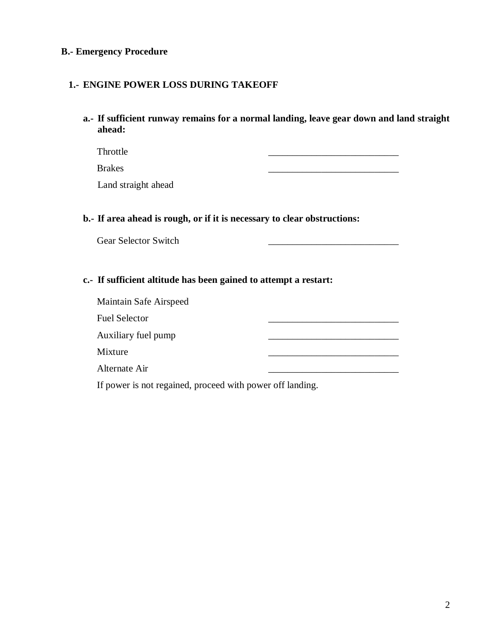#### **B.- Emergency Procedure**

#### **1.- ENGINE POWER LOSS DURING TAKEOFF**

**a.- If sufficient runway remains for a normal landing, leave gear down and land straight ahead:**

Throttle \_\_\_\_\_\_\_\_\_\_\_\_\_\_\_\_\_\_\_\_\_\_\_\_\_\_\_

Brakes \_\_\_\_\_\_\_\_\_\_\_\_\_\_\_\_\_\_\_\_\_\_\_\_\_\_\_

Land straight ahead

#### **b.- If area ahead is rough, or if it is necessary to clear obstructions:**

Gear Selector Switch

#### **c.- If sufficient altitude has been gained to attempt a restart:**

Maintain Safe Airspeed Fuel Selector Auxiliary fuel pump Mixture \_\_\_\_\_\_\_\_\_\_\_\_\_\_\_\_\_\_\_\_\_\_\_\_\_\_\_ Alternate Air If power is not regained, proceed with power off landing.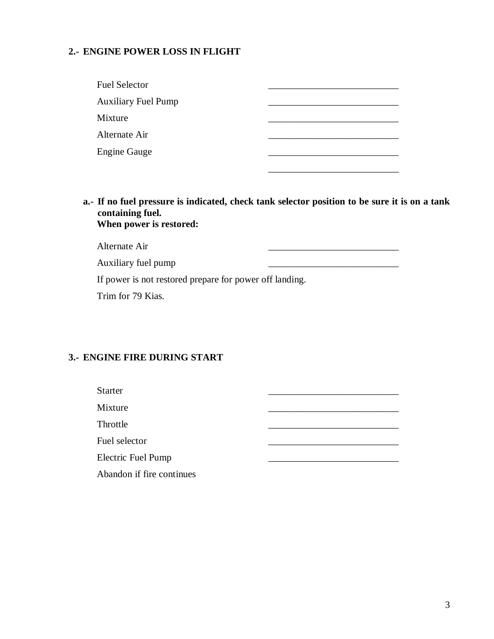## **2.- ENGINE POWER LOSS IN FLIGHT**

| Fuel Selector              |  |
|----------------------------|--|
| <b>Auxiliary Fuel Pump</b> |  |
| Mixture                    |  |
| Alternate Air              |  |
| <b>Engine Gauge</b>        |  |
|                            |  |

**a.- If no fuel pressure is indicated, check tank selector position to be sure it is on a tank containing fuel. When power is restored:**

| Alternate Air                                           |  |
|---------------------------------------------------------|--|
| Auxiliary fuel pump                                     |  |
| If power is not restored prepare for power off landing. |  |

Trim for 79 Kias.

#### **3.- ENGINE FIRE DURING START**

| <b>Starter</b>            |  |
|---------------------------|--|
| Mixture                   |  |
| Throttle                  |  |
| Fuel selector             |  |
| <b>Electric Fuel Pump</b> |  |
| Abandon if fire continues |  |